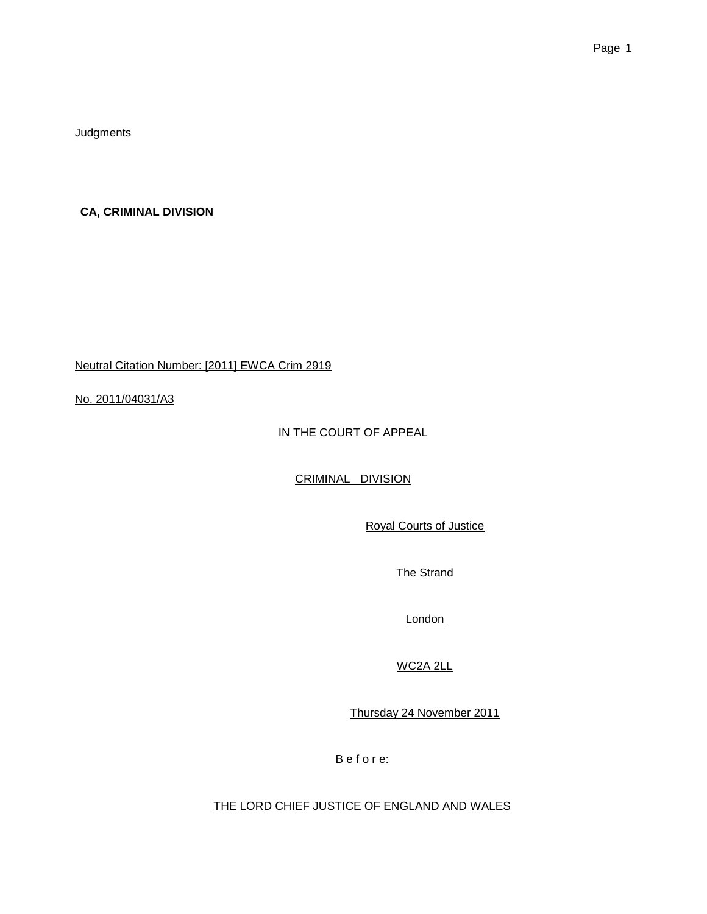**Judgments** 

**CA, CRIMINAL DIVISION**

Neutral Citation Number: [2011] EWCA Crim 2919

No. 2011/04031/A3

IN THE COURT OF APPEAL

CRIMINAL DIVISION

Royal Courts of Justice

The Strand

London

WC2A 2LL

Thursday 24 November 2011

B e f o r e:

THE LORD CHIEF JUSTICE OF ENGLAND AND WALES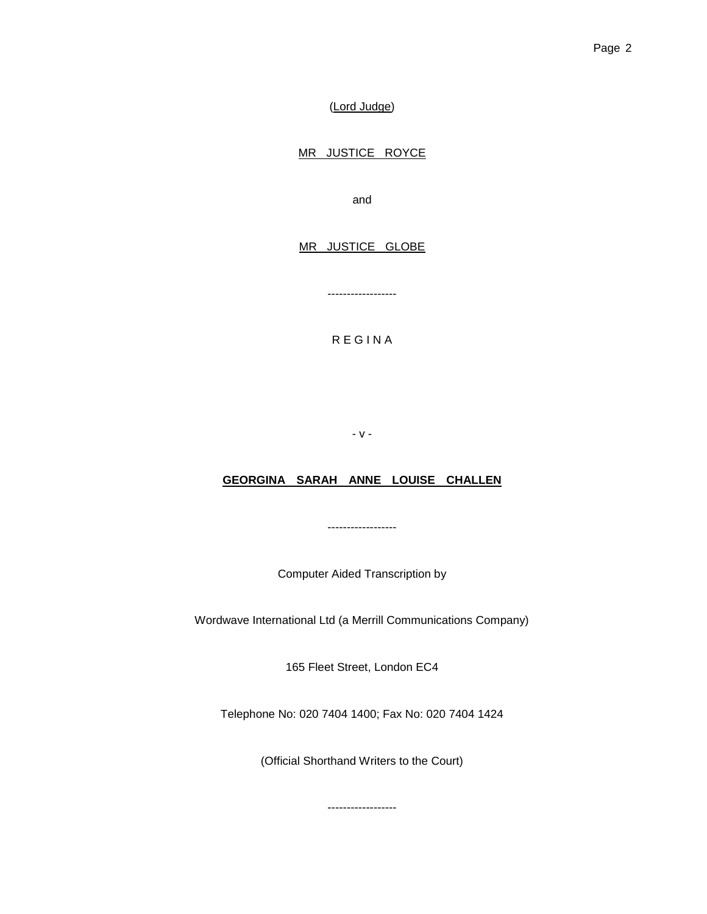(Lord Judge)

# MR JUSTICE ROYCE

and

### MR JUSTICE GLOBE

R E G I N A

------------------

- v -

## **GEORGINA SARAH ANNE LOUISE CHALLEN**

------------------

Computer Aided Transcription by

Wordwave International Ltd (a Merrill Communications Company)

165 Fleet Street, London EC4

Telephone No: 020 7404 1400; Fax No: 020 7404 1424

(Official Shorthand Writers to the Court)

------------------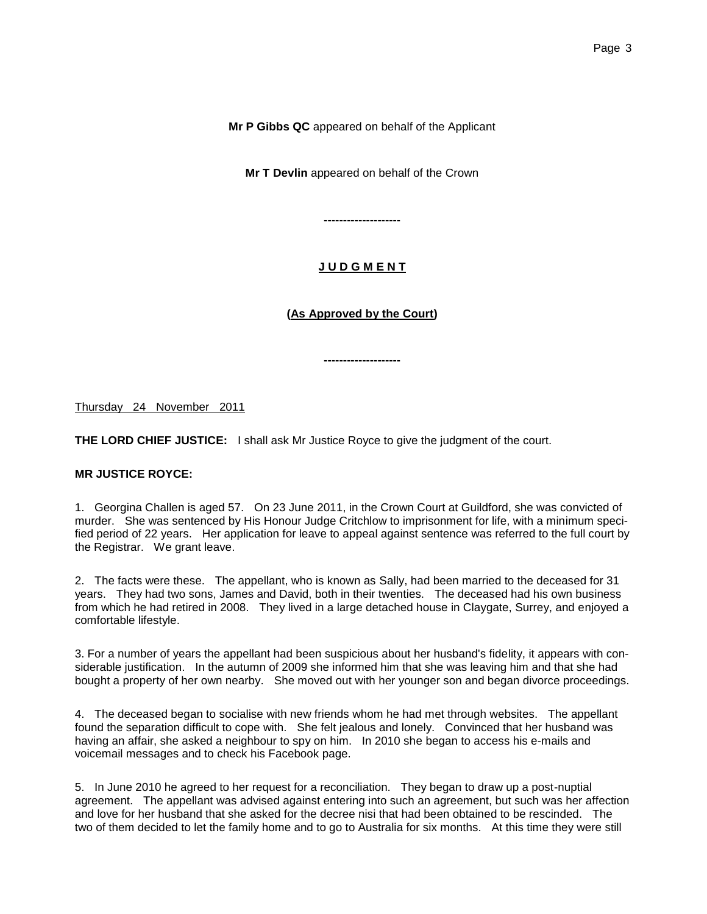**Mr P Gibbs QC** appeared on behalf of the Applicant

**Mr T Devlin** appeared on behalf of the Crown

# **J U D G M E N T**

**--------------------**

# **(As Approved by the Court)**

**--------------------**

Thursday 24 November 2011

**THE LORD CHIEF JUSTICE:** I shall ask Mr Justice Royce to give the judgment of the court.

#### **MR JUSTICE ROYCE:**

1. Georgina Challen is aged 57. On 23 June 2011, in the Crown Court at Guildford, she was convicted of murder. She was sentenced by His Honour Judge Critchlow to imprisonment for life, with a minimum specified period of 22 years. Her application for leave to appeal against sentence was referred to the full court by the Registrar. We grant leave.

2. The facts were these. The appellant, who is known as Sally, had been married to the deceased for 31 years. They had two sons, James and David, both in their twenties. The deceased had his own business from which he had retired in 2008. They lived in a large detached house in Claygate, Surrey, and enjoyed a comfortable lifestyle.

3. For a number of years the appellant had been suspicious about her husband's fidelity, it appears with considerable justification. In the autumn of 2009 she informed him that she was leaving him and that she had bought a property of her own nearby. She moved out with her younger son and began divorce proceedings.

4. The deceased began to socialise with new friends whom he had met through websites. The appellant found the separation difficult to cope with. She felt jealous and lonely. Convinced that her husband was having an affair, she asked a neighbour to spy on him. In 2010 she began to access his e-mails and voicemail messages and to check his Facebook page.

5. In June 2010 he agreed to her request for a reconciliation. They began to draw up a post-nuptial agreement. The appellant was advised against entering into such an agreement, but such was her affection and love for her husband that she asked for the decree nisi that had been obtained to be rescinded. The two of them decided to let the family home and to go to Australia for six months. At this time they were still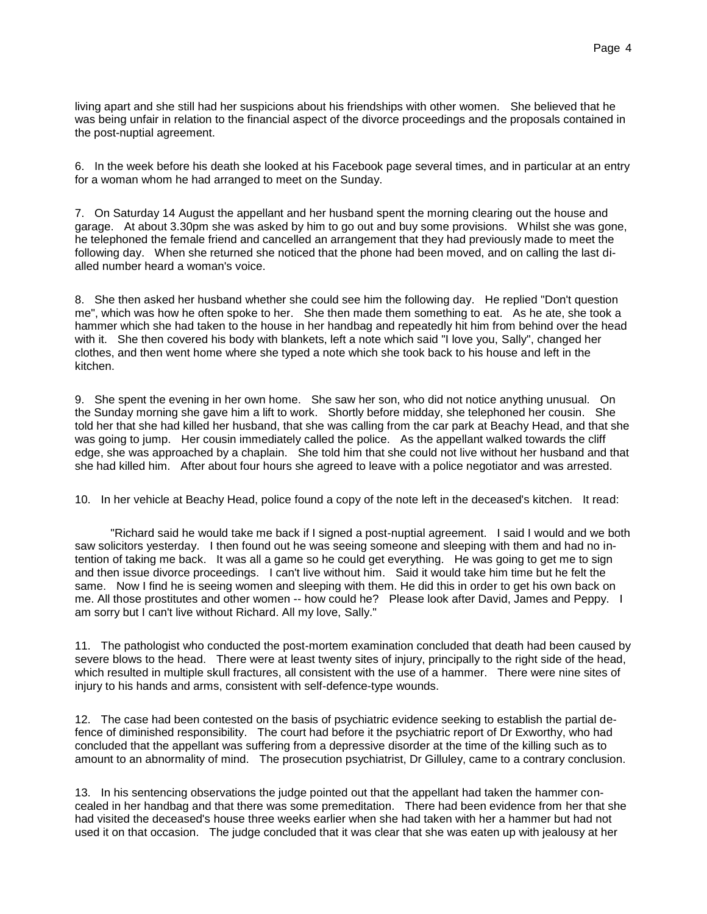living apart and she still had her suspicions about his friendships with other women. She believed that he was being unfair in relation to the financial aspect of the divorce proceedings and the proposals contained in the post-nuptial agreement.

6. In the week before his death she looked at his Facebook page several times, and in particular at an entry for a woman whom he had arranged to meet on the Sunday.

7. On Saturday 14 August the appellant and her husband spent the morning clearing out the house and garage. At about 3.30pm she was asked by him to go out and buy some provisions. Whilst she was gone, he telephoned the female friend and cancelled an arrangement that they had previously made to meet the following day. When she returned she noticed that the phone had been moved, and on calling the last dialled number heard a woman's voice.

8. She then asked her husband whether she could see him the following day. He replied "Don't question me", which was how he often spoke to her. She then made them something to eat. As he ate, she took a hammer which she had taken to the house in her handbag and repeatedly hit him from behind over the head with it. She then covered his body with blankets, left a note which said "I love you, Sally", changed her clothes, and then went home where she typed a note which she took back to his house and left in the kitchen.

9. She spent the evening in her own home. She saw her son, who did not notice anything unusual. On the Sunday morning she gave him a lift to work. Shortly before midday, she telephoned her cousin. She told her that she had killed her husband, that she was calling from the car park at Beachy Head, and that she was going to jump. Her cousin immediately called the police. As the appellant walked towards the cliff edge, she was approached by a chaplain. She told him that she could not live without her husband and that she had killed him. After about four hours she agreed to leave with a police negotiator and was arrested.

10. In her vehicle at Beachy Head, police found a copy of the note left in the deceased's kitchen. It read:

"Richard said he would take me back if I signed a post-nuptial agreement. I said I would and we both saw solicitors yesterday. I then found out he was seeing someone and sleeping with them and had no intention of taking me back. It was all a game so he could get everything. He was going to get me to sign and then issue divorce proceedings. I can't live without him. Said it would take him time but he felt the same. Now I find he is seeing women and sleeping with them. He did this in order to get his own back on me. All those prostitutes and other women -- how could he? Please look after David, James and Peppy. I am sorry but I can't live without Richard. All my love, Sally."

11. The pathologist who conducted the post-mortem examination concluded that death had been caused by severe blows to the head. There were at least twenty sites of injury, principally to the right side of the head, which resulted in multiple skull fractures, all consistent with the use of a hammer. There were nine sites of injury to his hands and arms, consistent with self-defence-type wounds.

12. The case had been contested on the basis of psychiatric evidence seeking to establish the partial defence of diminished responsibility. The court had before it the psychiatric report of Dr Exworthy, who had concluded that the appellant was suffering from a depressive disorder at the time of the killing such as to amount to an abnormality of mind. The prosecution psychiatrist, Dr Gilluley, came to a contrary conclusion.

13. In his sentencing observations the judge pointed out that the appellant had taken the hammer concealed in her handbag and that there was some premeditation. There had been evidence from her that she had visited the deceased's house three weeks earlier when she had taken with her a hammer but had not used it on that occasion. The judge concluded that it was clear that she was eaten up with jealousy at her